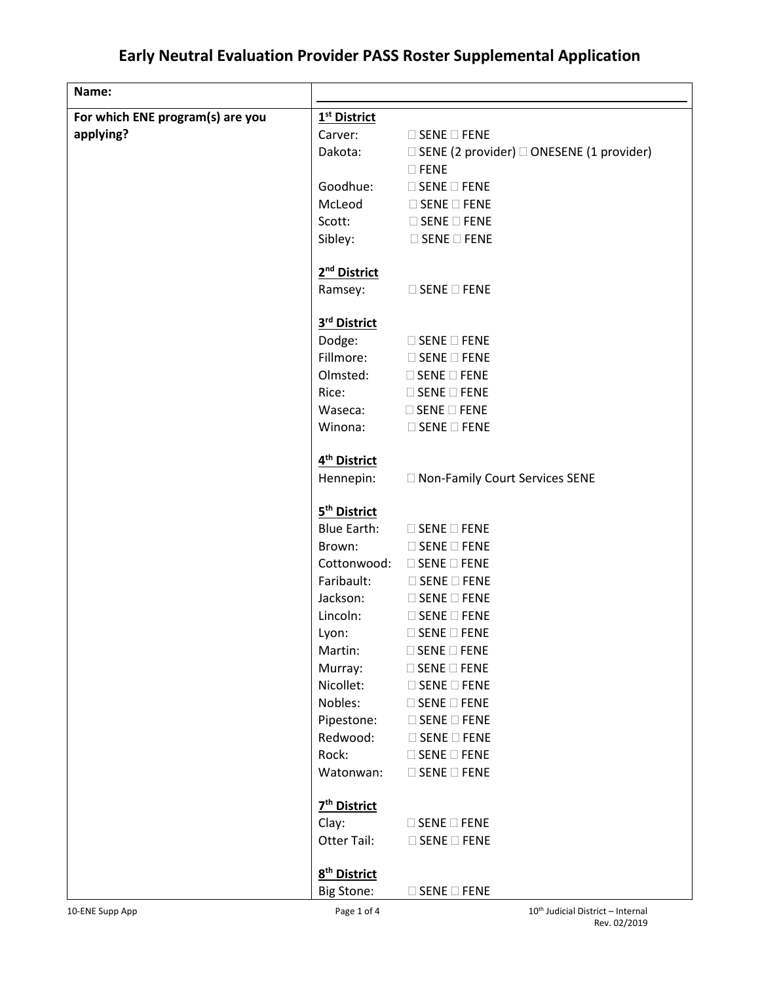## **Early Neutral Evaluation Provider PASS Roster Supplemental Application**

| Name:                            |                          |                                                            |
|----------------------------------|--------------------------|------------------------------------------------------------|
| For which ENE program(s) are you | 1 <sup>st</sup> District |                                                            |
| applying?                        | Carver:                  | $\square$ SENE $\square$ FENE                              |
|                                  | Dakota:                  | $\Box$ SENE (2 provider) $\Box$ ONESENE (1 provider)       |
|                                  |                          | $\square$ FENE                                             |
|                                  | Goodhue:                 | $\Box$ SENE $\Box$ FENE                                    |
|                                  |                          | $Mclead$ $\Box$ SENE $\Box$ FENE                           |
|                                  |                          | Scott: SENE FENE                                           |
|                                  |                          | Sibley: $\Box$ SENE $\Box$ FENE                            |
|                                  |                          |                                                            |
|                                  | 2 <sup>nd</sup> District |                                                            |
|                                  | Ramsey:                  | $\square$ SENE $\square$ FENE                              |
|                                  | 3rd District             |                                                            |
|                                  |                          | Dodge: □ SENE □ FENE                                       |
|                                  |                          | Fillmore: □ SENE □ FENE                                    |
|                                  |                          | Olmsted: □ SENE □ FENE                                     |
|                                  | Rice:                    | $\square$ SENE $\square$ FENE                              |
|                                  | Waseca:                  | $\square$ SENE $\square$ FENE                              |
|                                  | Winona:                  | $\Box$ SENE $\Box$ FENE                                    |
|                                  |                          |                                                            |
|                                  | 4 <sup>th</sup> District |                                                            |
|                                  | Hennepin:                | □ Non-Family Court Services SENE                           |
|                                  |                          |                                                            |
|                                  | 5 <sup>th</sup> District |                                                            |
|                                  |                          | Blue Earth: □ SENE □ FENE                                  |
|                                  | Brown:                   | $\square$ SENE $\square$ FENE<br>Cottonwood: □ SENE □ FENE |
|                                  |                          | Faribault: □ SENE □ FENE                                   |
|                                  |                          | Jackson: □ SENE □ FENE                                     |
|                                  |                          | Lincoln: □ SENE □ FENE                                     |
|                                  | Lyon:                    | $\square$ SENE $\square$ FENE                              |
|                                  | Martin:                  | $\square$ SENE $\square$ FENE                              |
|                                  | Murray:                  | $\square$ SENE $\square$ FENE                              |
|                                  | Nicollet:                | $\square$ SENE $\square$ FENE                              |
|                                  | Nobles:                  | $\square$ SENE $\square$ FENE                              |
|                                  | Pipestone:               | $\square$ SENE $\square$ FENE                              |
|                                  | Redwood:                 | $\square$ SENE $\square$ FENE                              |
|                                  | Rock:                    | $\square$ SENE $\square$ FENE                              |
|                                  | Watonwan:                | $\square$ SENE $\square$ FENE                              |
|                                  |                          |                                                            |
|                                  | 7 <sup>th</sup> District |                                                            |
|                                  | Clay:                    | $\square$ SENE $\square$ FENE                              |
|                                  | Otter Tail:              | $\square$ SENE $\square$ FENE                              |
|                                  | 8 <sup>th</sup> District |                                                            |
|                                  | <b>Big Stone:</b>        | $\square$ SENE $\square$ FENE                              |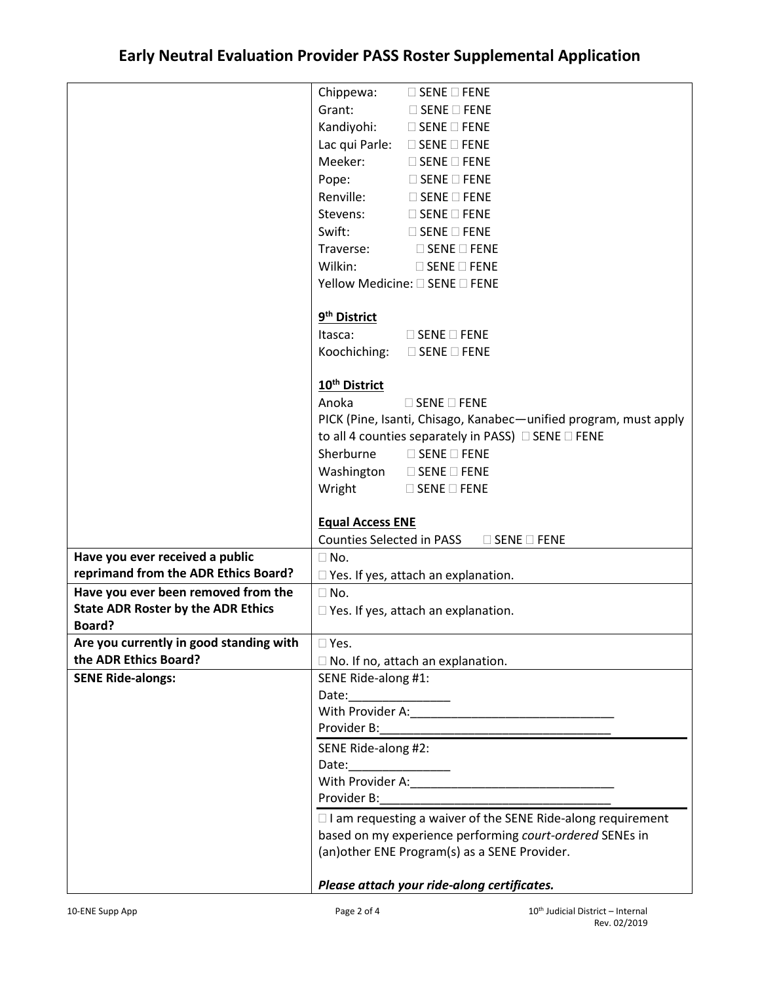|                                           | Chippewa: $\Box$ SENE $\Box$ FENE                                  |  |
|-------------------------------------------|--------------------------------------------------------------------|--|
|                                           | Grant:<br>$\square$ SENE $\square$ FENE                            |  |
|                                           | Kandiyohi: □ SENE □ FENE                                           |  |
|                                           | Lac qui Parle: □ SENE □ FENE                                       |  |
|                                           | Meeker:<br>$\square$ SENE $\square$ FENE                           |  |
|                                           | Pope:<br>$\Box$ SENE $\Box$ FENE                                   |  |
|                                           | Renville: □ SENE □ FENE                                            |  |
|                                           | Stevens: □ SENE □ FENE                                             |  |
|                                           | Swift:<br>$\square$ SENE $\square$ FENE                            |  |
|                                           | Traverse: $\Box$ SENE $\Box$ FENE                                  |  |
|                                           | Wilkin:<br>$\Box$ SENE $\Box$ FENE                                 |  |
|                                           | Yellow Medicine: □ SENE □ FENE                                     |  |
|                                           |                                                                    |  |
|                                           | 9 <sup>th</sup> District                                           |  |
|                                           | Itasca:<br>$\Box$ SENE $\Box$ FENE                                 |  |
|                                           | Koochiching: □ SENE □ FENE                                         |  |
|                                           |                                                                    |  |
|                                           | 10 <sup>th</sup> District                                          |  |
|                                           | Anoka<br>$\square$ SENE $\square$ FENE                             |  |
|                                           | PICK (Pine, Isanti, Chisago, Kanabec-unified program, must apply   |  |
|                                           | to all 4 counties separately in PASS) □ SENE □ FENE                |  |
|                                           | Sherburne<br>$\square$ SENE $\square$ FENE                         |  |
|                                           | Washington □ SENE □ FENE                                           |  |
|                                           | Wright<br>$\square$ SENE $\square$ FENE                            |  |
|                                           |                                                                    |  |
|                                           | <b>Equal Access ENE</b>                                            |  |
|                                           | <b>Counties Selected in PASS</b><br>$\square$ SENE $\square$ FENE  |  |
| Have you ever received a public           | $\Box$ No.                                                         |  |
| reprimand from the ADR Ethics Board?      | $\Box$ Yes. If yes, attach an explanation.                         |  |
| Have you ever been removed from the       | $\Box$ No.                                                         |  |
| <b>State ADR Roster by the ADR Ethics</b> | $\Box$ Yes. If yes, attach an explanation.                         |  |
| Board?                                    |                                                                    |  |
| Are you currently in good standing with   | $\square$ Yes.                                                     |  |
| the ADR Ethics Board?                     | $\Box$ No. If no, attach an explanation.                           |  |
| <b>SENE Ride-alongs:</b>                  | SENE Ride-along #1:                                                |  |
|                                           |                                                                    |  |
|                                           |                                                                    |  |
|                                           |                                                                    |  |
|                                           | SENE Ride-along #2:                                                |  |
|                                           | Date:                                                              |  |
|                                           |                                                                    |  |
|                                           |                                                                    |  |
|                                           | $\Box$ I am requesting a waiver of the SENE Ride-along requirement |  |
|                                           | based on my experience performing court-ordered SENEs in           |  |
|                                           | (an) other ENE Program(s) as a SENE Provider.                      |  |
|                                           |                                                                    |  |
|                                           | Please attach your ride-along certificates.                        |  |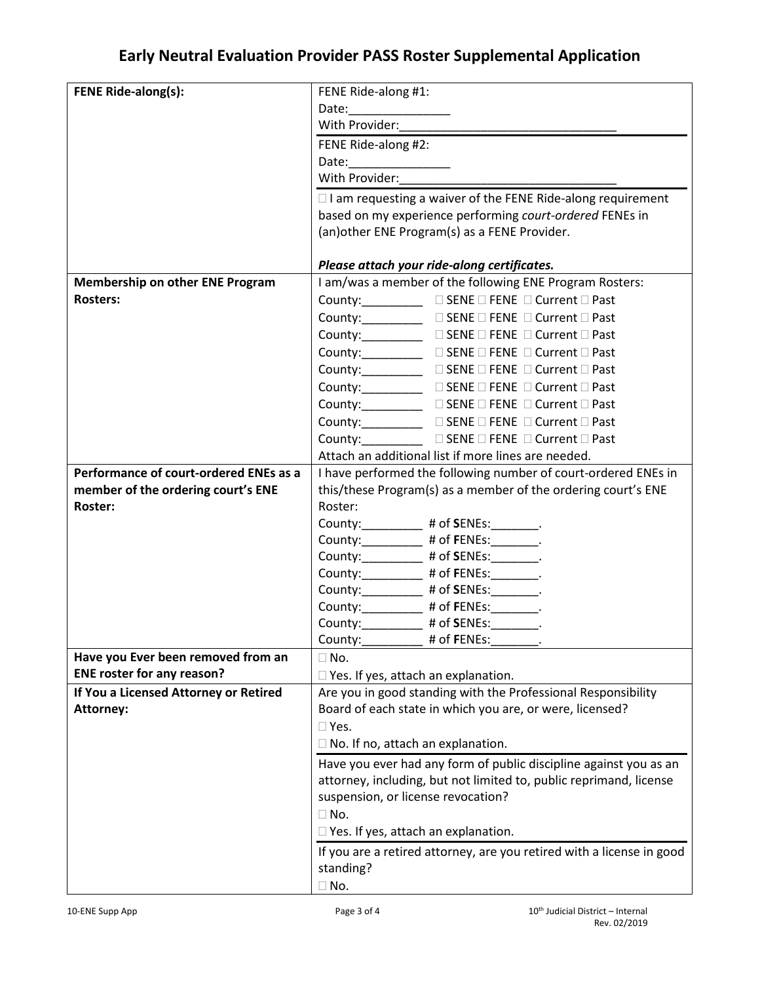## **Early Neutral Evaluation Provider PASS Roster Supplemental Application**

| <b>FENE Ride-along(s):</b>             | FENE Ride-along #1:                                                                                                                                                                                                                                                                                                                                                                                                                                                                                                                                                                                                     |  |
|----------------------------------------|-------------------------------------------------------------------------------------------------------------------------------------------------------------------------------------------------------------------------------------------------------------------------------------------------------------------------------------------------------------------------------------------------------------------------------------------------------------------------------------------------------------------------------------------------------------------------------------------------------------------------|--|
|                                        |                                                                                                                                                                                                                                                                                                                                                                                                                                                                                                                                                                                                                         |  |
|                                        |                                                                                                                                                                                                                                                                                                                                                                                                                                                                                                                                                                                                                         |  |
|                                        | FENE Ride-along #2:                                                                                                                                                                                                                                                                                                                                                                                                                                                                                                                                                                                                     |  |
|                                        |                                                                                                                                                                                                                                                                                                                                                                                                                                                                                                                                                                                                                         |  |
|                                        | With Provider:                                                                                                                                                                                                                                                                                                                                                                                                                                                                                                                                                                                                          |  |
|                                        | $\Box$ I am requesting a waiver of the FENE Ride-along requirement                                                                                                                                                                                                                                                                                                                                                                                                                                                                                                                                                      |  |
|                                        | based on my experience performing court-ordered FENEs in                                                                                                                                                                                                                                                                                                                                                                                                                                                                                                                                                                |  |
|                                        | (an) other ENE Program(s) as a FENE Provider.                                                                                                                                                                                                                                                                                                                                                                                                                                                                                                                                                                           |  |
|                                        | Please attach your ride-along certificates.                                                                                                                                                                                                                                                                                                                                                                                                                                                                                                                                                                             |  |
| <b>Membership on other ENE Program</b> | I am/was a member of the following ENE Program Rosters:                                                                                                                                                                                                                                                                                                                                                                                                                                                                                                                                                                 |  |
| <b>Rosters:</b>                        | County:_____________ □ SENE □ FENE □ Current □ Past                                                                                                                                                                                                                                                                                                                                                                                                                                                                                                                                                                     |  |
|                                        | $\begin{tabular}{ll} \textbf{Country:} & \textbf{\textcolor{red}{\bf \textcolor{green}{\bf \textcolor{green}{\bf \textcolor{green}{\bf \textcolor{green}{\bf \textcolor{green}{\bf \textcolor{green}{\bf \textcolor{green}{\bf \textcolor{green}{\bf \textcolor{green}{\bf \textcolor{green}{\bf \textcolor{green}{\bf \textcolor{green}{\bf \textcolor{green}{\bf \textcolor{green}{\bf \textcolor{green}{\bf \textcolor{green}{\bf \textcolor{green}{\bf \textcolor{green}{\bf \textcolor{green}{\bf \textcolor{green}{\bf \textcolor{green}{\bf \textcolor{green}{\bf \textcolor{green}{\bf \textcolor{green}{\bf \$ |  |
|                                        | County:_____________ □ SENE □ FENE □ Current □ Past                                                                                                                                                                                                                                                                                                                                                                                                                                                                                                                                                                     |  |
|                                        |                                                                                                                                                                                                                                                                                                                                                                                                                                                                                                                                                                                                                         |  |
|                                        | County:____________ □ SENE □ FENE □ Current □ Past                                                                                                                                                                                                                                                                                                                                                                                                                                                                                                                                                                      |  |
|                                        | $\begin{tabular}{ll} \textbf{Country:} \textcolor{red}{\textbf{________} \end{tabular} \begin{tabular}{ll} \textbf{________} \end{tabular} \begin{tabular}{ll} \textbf{________} \end{tabular} \begin{tabular}{ll} \textbf{________} \end{tabular} \begin{tabular}{ll} \textbf{________} \end{tabular} \begin{tabular}{ll} \textbf{________} \end{tabular} \end{tabular} \begin{tabular}{ll} \textbf{________} \end{tabular} \begin{tabular}{ll} \textbf{________} \end{tabular} \begin{tabular}{ll} \textbf{________} \end{tabular} \begin{tabular}{ll} \textbf{________} \end{tabular} \$                             |  |
|                                        | County: <u>____</u> _______ □ SENE □ FENE □ Current □ Past                                                                                                                                                                                                                                                                                                                                                                                                                                                                                                                                                              |  |
|                                        | County:____________ □ SENE □ FENE □ Current □ Past                                                                                                                                                                                                                                                                                                                                                                                                                                                                                                                                                                      |  |
|                                        | $\begin{tabular}{ll} \textbf{Country:} \textcolor{red}{\textbf{EXAMPLE}} & \textcolor{red}{\Box} \textbf{SENE} \hspace{0.05cm}\Box \textbf{FENE} \hspace{0.05cm}\Box \textbf{Current} \hspace{0.05cm}\Box \textbf{Fast} \end{tabular}$                                                                                                                                                                                                                                                                                                                                                                                  |  |
|                                        | County: <u>USENE</u> DENE DENE D Current D Past                                                                                                                                                                                                                                                                                                                                                                                                                                                                                                                                                                         |  |
|                                        | Attach an additional list if more lines are needed.                                                                                                                                                                                                                                                                                                                                                                                                                                                                                                                                                                     |  |
| Performance of court-ordered ENEs as a | I have performed the following number of court-ordered ENEs in                                                                                                                                                                                                                                                                                                                                                                                                                                                                                                                                                          |  |
| member of the ordering court's ENE     | this/these Program(s) as a member of the ordering court's ENE                                                                                                                                                                                                                                                                                                                                                                                                                                                                                                                                                           |  |
| <b>Roster:</b>                         | Roster:                                                                                                                                                                                                                                                                                                                                                                                                                                                                                                                                                                                                                 |  |
|                                        | County:__________ # of SENEs:_______.                                                                                                                                                                                                                                                                                                                                                                                                                                                                                                                                                                                   |  |
|                                        | County: _________ # of FENEs: _______.                                                                                                                                                                                                                                                                                                                                                                                                                                                                                                                                                                                  |  |
|                                        | County:___________ # of SENEs:________.                                                                                                                                                                                                                                                                                                                                                                                                                                                                                                                                                                                 |  |
|                                        | County:__________ # of FENEs:_______.                                                                                                                                                                                                                                                                                                                                                                                                                                                                                                                                                                                   |  |
|                                        | County:__________ # of SENEs:________.                                                                                                                                                                                                                                                                                                                                                                                                                                                                                                                                                                                  |  |
|                                        | County:___________ # of FENEs:________.                                                                                                                                                                                                                                                                                                                                                                                                                                                                                                                                                                                 |  |
|                                        | County: __________ # of SENEs: _______.<br># of FENEs:                                                                                                                                                                                                                                                                                                                                                                                                                                                                                                                                                                  |  |
| Have you Ever been removed from an     | County:<br>$\Box$ No.                                                                                                                                                                                                                                                                                                                                                                                                                                                                                                                                                                                                   |  |
| <b>ENE roster for any reason?</b>      |                                                                                                                                                                                                                                                                                                                                                                                                                                                                                                                                                                                                                         |  |
|                                        | $\Box$ Yes. If yes, attach an explanation.                                                                                                                                                                                                                                                                                                                                                                                                                                                                                                                                                                              |  |
| If You a Licensed Attorney or Retired  | Are you in good standing with the Professional Responsibility                                                                                                                                                                                                                                                                                                                                                                                                                                                                                                                                                           |  |
| <b>Attorney:</b>                       | Board of each state in which you are, or were, licensed?                                                                                                                                                                                                                                                                                                                                                                                                                                                                                                                                                                |  |
|                                        | $\square$ Yes.                                                                                                                                                                                                                                                                                                                                                                                                                                                                                                                                                                                                          |  |
|                                        | $\Box$ No. If no, attach an explanation.                                                                                                                                                                                                                                                                                                                                                                                                                                                                                                                                                                                |  |
|                                        | Have you ever had any form of public discipline against you as an                                                                                                                                                                                                                                                                                                                                                                                                                                                                                                                                                       |  |
|                                        | attorney, including, but not limited to, public reprimand, license                                                                                                                                                                                                                                                                                                                                                                                                                                                                                                                                                      |  |
|                                        | suspension, or license revocation?                                                                                                                                                                                                                                                                                                                                                                                                                                                                                                                                                                                      |  |
|                                        | $\Box$ No.                                                                                                                                                                                                                                                                                                                                                                                                                                                                                                                                                                                                              |  |
|                                        | $\square$ Yes. If yes, attach an explanation.                                                                                                                                                                                                                                                                                                                                                                                                                                                                                                                                                                           |  |
|                                        | If you are a retired attorney, are you retired with a license in good                                                                                                                                                                                                                                                                                                                                                                                                                                                                                                                                                   |  |
|                                        | standing?                                                                                                                                                                                                                                                                                                                                                                                                                                                                                                                                                                                                               |  |
|                                        | $\Box$ No.                                                                                                                                                                                                                                                                                                                                                                                                                                                                                                                                                                                                              |  |